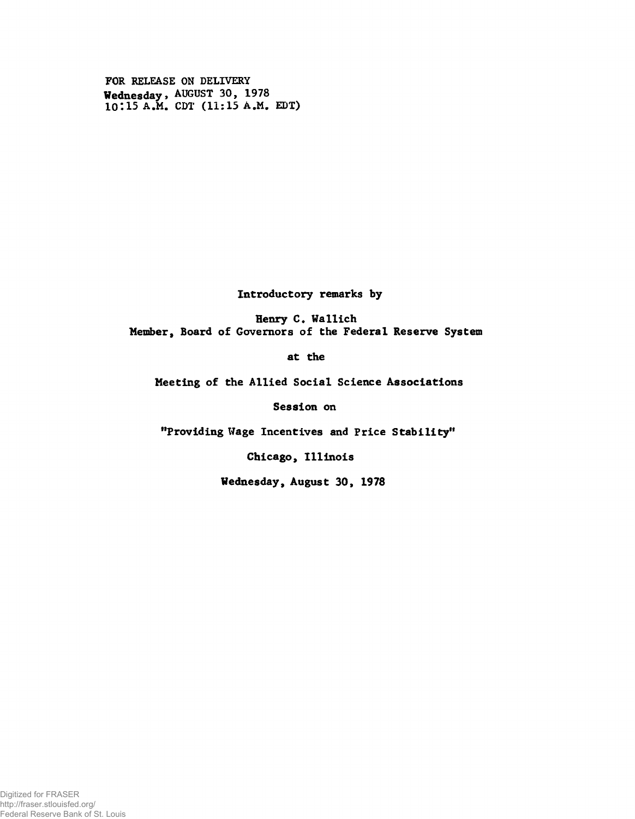FOR RELEASE ON DELIVERY Wednesday > AUGUST 30, 1978 10:15 A.M. CDT (11:15 A.M. EDT)

Introductory remarks by

Henry C. Wallich Member, Board of Governors of the Federal Reserve System

at the

Meeting of the Allied Social Science Associations

Session on

"Providing Wage Incentives and Price Stability"

Chicago, Illinois

Wednesday, August 30, 1978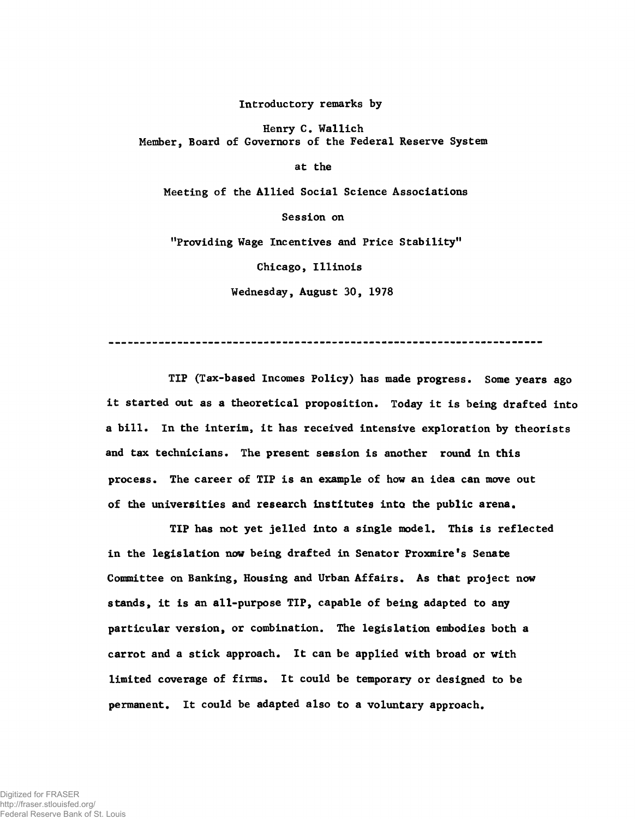**Introductory remarks by**

Henry C. Wallich Member, Board of Governors of the Federal Reserve System

at the

Meeting of the Allied Social Science Associations

Session on

"Providing Wage Incentives and Price Stability"

Chicago, Illinois

Wednesday, August 30, 1978

TIP (Tax-based Incomes Policy) has made progress. Some years ago it started out as a theoretical proposition. Today it is being drafted into a bill. In the interim, it has received intensive exploration by theorists and tax technicians. The present session is another round in this process. The career of TIP is an example of how an idea can move out of the universities and research institutes into the public arena.

TIP has not yet jelled into a single model. This is reflected in the legislation now being drafted in Senator Proxmire's Senate Committee on Banking, Housing and Urban Affairs. As that project now stands, it is an all-purpose TIP, capable of being adapted to any particular version, or combination. The legislation embodies both a carrot and a stick approach. It can be applied with broad or with limited coverage of firms. It could be temporary or designed to be permanent. It could be adapted also to a voluntary approach.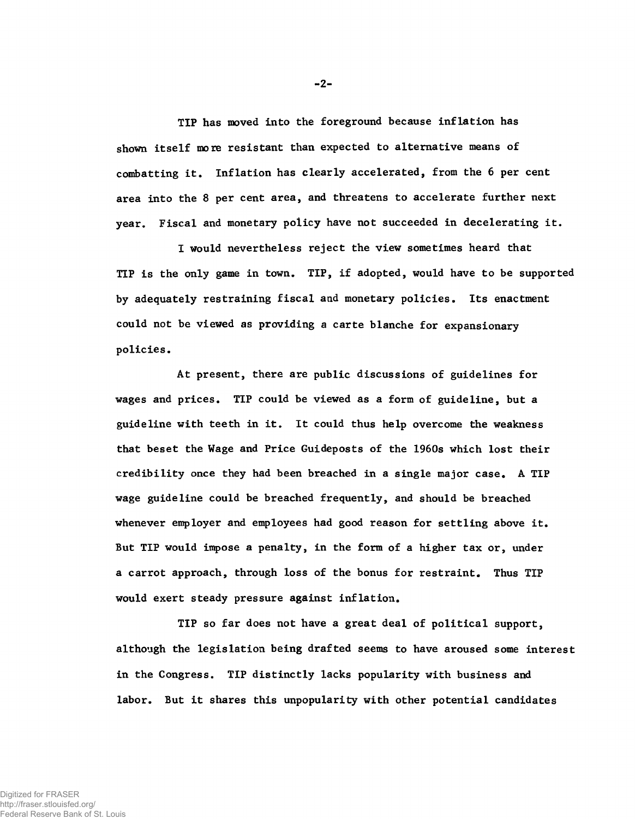**TIP has moved into the foreground because inflation has shown itself more resistant than expected to alternative means of combatting it. Inflation has clearly accelerated, from the 6 per cent area into the 8 per cent area, and threatens to accelerate further next year. Fiscal and monetary policy have not succeeded in decelerating it.**

**I would nevertheless reject the view sometimes heard that TIP is the only game in town. TIP, if adopted, would have to be supported by adequately restraining fiscal and monetary policies. Its enactment could not be viewed as providing a carte blanche for expansionary policies.**

At present, there are public discussions of guidelines for wages and prices. TIP could be viewed as a form of guideline, but a guideline with teeth in it. It could thus help overcome the weakness that beset the Wage and Price Guideposts of the 1960s which lost their credibility once they had been breached in a single major case. A TIP wage guideline could be breached frequently, and should be breached whenever employer and employees had good reason for settling above it. **But TIP would impose a penalty, in the form of a higher tax or, under a carrot approach, through loss of the bonus for restraint. Thus TIP would exert steady pressure against inflation.**

**TIP so far does not have a great deal of political support, although the legislation being drafted seems to have aroused some interest in the Congress. TIP distinctly lacks popularity with business and labor. But it shares this unpopularity with other potential candidates**

**-2-**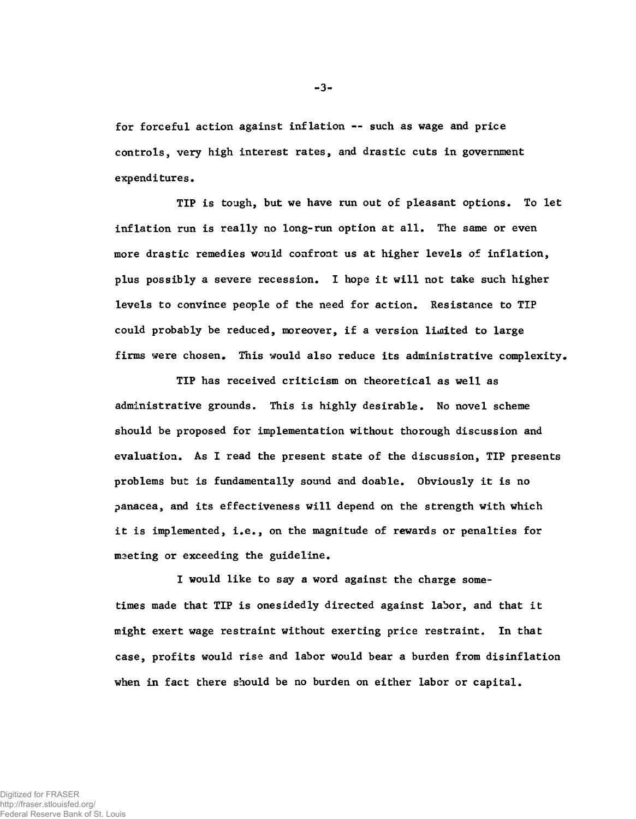**for forceful action against inflation — such as wage and price controls, very high interest rates, and drastic cuts in government expenditures.**

**TIP is tough, but we have run out of pleasant options. To let inflation run is really no long-run option at all. The same or even more drastic remedies would confront us at higher levels of inflation, plus possibly a severe recession. I hope it will not take such higher levels to convince people of the need for action. Resistance to TIP could probably be reduced, moreover, if a version limited to large firms were chosen. This would also reduce its administrative complexity.**

**TIP has received criticism on theoretical as well as administrative grounds. This is highly desirable. No novel scheme should be proposed for implementation without thorough discussion and evaluation. As I read the present state of the discussion, TIP presents problems but is fundamentally sound and doable. Obviously it is no panacea, and its effectiveness will depend on the strength with which it is implemented, i.e., on the magnitude of rewards or penalties for maeting or exceeding the guideline.**

**I would like to say a word against the charge sometimes made that TIP is onesidedly directed against labor, and that it might exert wage restraint without exerting price restraint. In that case, profits would rise and labor would bear a burden from disinflation when in fact there should be no burden on either labor or capital.**

-3-